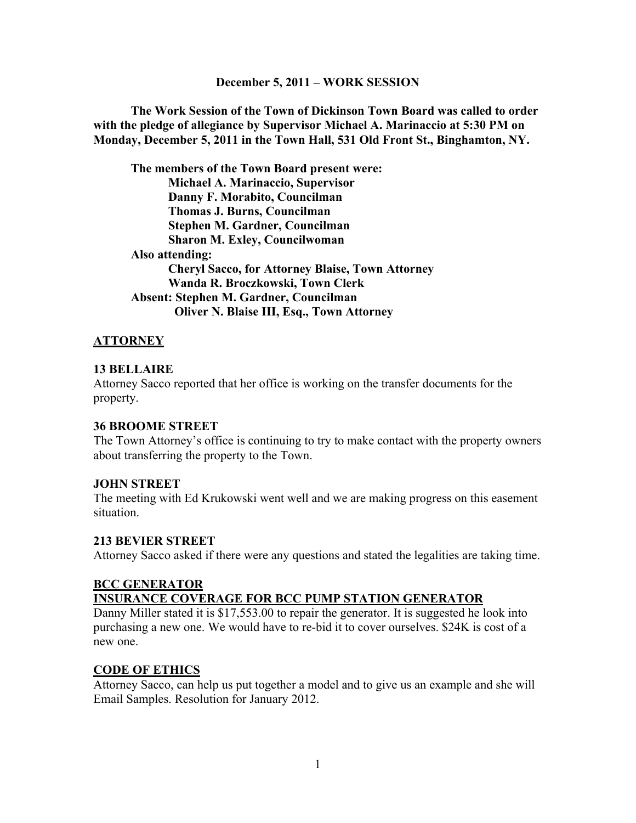#### **December 5, 2011 – WORK SESSION**

**The Work Session of the Town of Dickinson Town Board was called to order with the pledge of allegiance by Supervisor Michael A. Marinaccio at 5:30 PM on Monday, December 5, 2011 in the Town Hall, 531 Old Front St., Binghamton, NY.**

**The members of the Town Board present were: Michael A. Marinaccio, Supervisor Danny F. Morabito, Councilman Thomas J. Burns, Councilman Stephen M. Gardner, Councilman Sharon M. Exley, Councilwoman Also attending: Cheryl Sacco, for Attorney Blaise, Town Attorney Wanda R. Broczkowski, Town Clerk Absent: Stephen M. Gardner, Councilman Oliver N. Blaise III, Esq., Town Attorney**

### **ATTORNEY**

### **13 BELLAIRE**

Attorney Sacco reported that her office is working on the transfer documents for the property.

#### **36 BROOME STREET**

The Town Attorney's office is continuing to try to make contact with the property owners about transferring the property to the Town.

### **JOHN STREET**

The meeting with Ed Krukowski went well and we are making progress on this easement situation.

### **213 BEVIER STREET**

Attorney Sacco asked if there were any questions and stated the legalities are taking time.

# **BCC GENERATOR**

### **INSURANCE COVERAGE FOR BCC PUMP STATION GENERATOR**

Danny Miller stated it is \$17,553.00 to repair the generator. It is suggested he look into purchasing a new one. We would have to re-bid it to cover ourselves. \$24K is cost of a new one.

### **CODE OF ETHICS**

Attorney Sacco, can help us put together a model and to give us an example and she will Email Samples. Resolution for January 2012.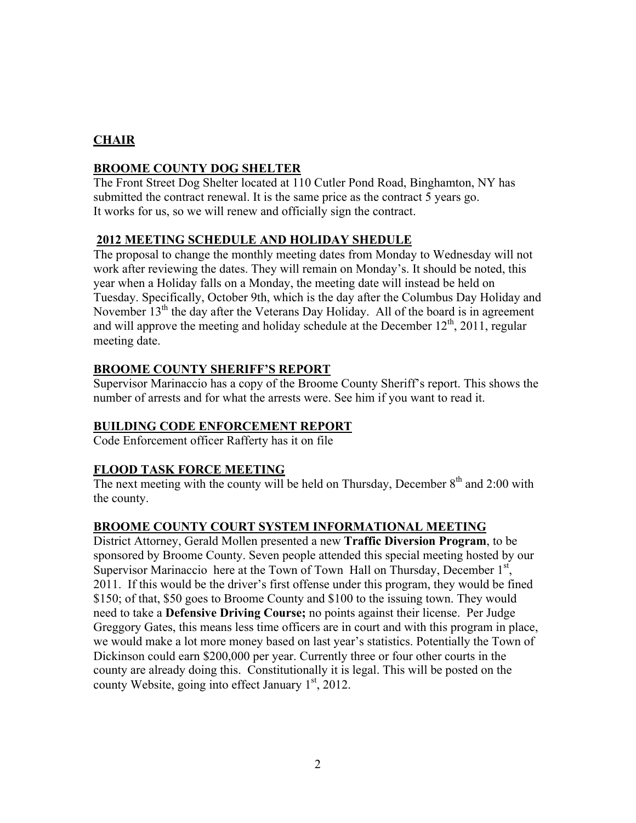# **CHAIR**

# **BROOME COUNTY DOG SHELTER**

The Front Street Dog Shelter located at 110 Cutler Pond Road, Binghamton, NY has submitted the contract renewal. It is the same price as the contract 5 years go. It works for us, so we will renew and officially sign the contract.

# **2012 MEETING SCHEDULE AND HOLIDAY SHEDULE**

The proposal to change the monthly meeting dates from Monday to Wednesday will not work after reviewing the dates. They will remain on Monday's. It should be noted, this year when a Holiday falls on a Monday, the meeting date will instead be held on Tuesday. Specifically, October 9th, which is the day after the Columbus Day Holiday and November  $13<sup>th</sup>$  the day after the Veterans Day Holiday. All of the board is in agreement and will approve the meeting and holiday schedule at the December  $12<sup>th</sup>$ , 2011, regular meeting date.

# **BROOME COUNTY SHERIFF'S REPORT**

Supervisor Marinaccio has a copy of the Broome County Sheriff's report. This shows the number of arrests and for what the arrests were. See him if you want to read it.

# **BUILDING CODE ENFORCEMENT REPORT**

Code Enforcement officer Rafferty has it on file

# **FLOOD TASK FORCE MEETING**

The next meeting with the county will be held on Thursday, December  $8<sup>th</sup>$  and 2:00 with the county.

# **BROOME COUNTY COURT SYSTEM INFORMATIONAL MEETING**

District Attorney, Gerald Mollen presented a new **Traffic Diversion Program**, to be sponsored by Broome County. Seven people attended this special meeting hosted by our Supervisor Marinaccio here at the Town of Town Hall on Thursday, December  $1<sup>st</sup>$ , 2011. If this would be the driver's first offense under this program, they would be fined \$150; of that, \$50 goes to Broome County and \$100 to the issuing town. They would need to take a **Defensive Driving Course;** no points against their license. Per Judge Greggory Gates, this means less time officers are in court and with this program in place, we would make a lot more money based on last year's statistics. Potentially the Town of Dickinson could earn \$200,000 per year. Currently three or four other courts in the county are already doing this. Constitutionally it is legal. This will be posted on the county Website, going into effect January  $1<sup>st</sup>$ , 2012.